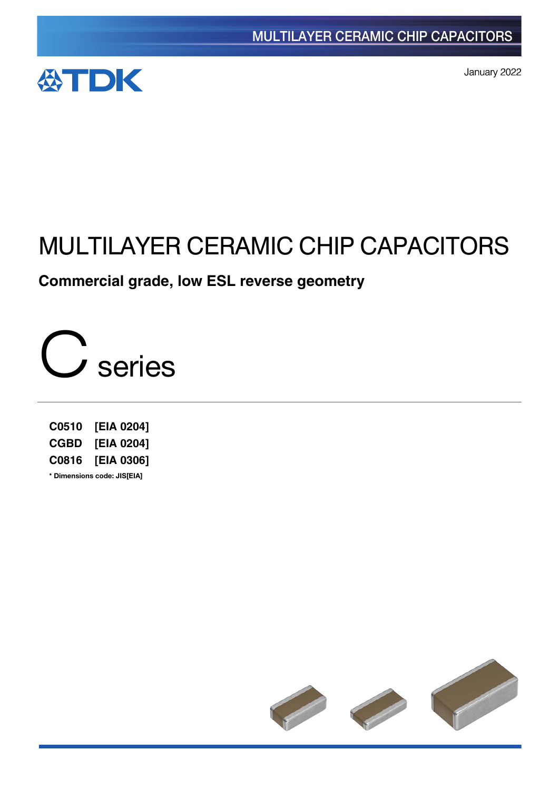

January 2022

# MULTILAYER CERAMIC CHIP CAPACITORS

**Commercial grade, low ESL reverse geometry**



**C0510 [EIA 0204] CGBD [EIA 0204] C0816 [EIA 0306] \*** Dimensions code: JIS[EIA]

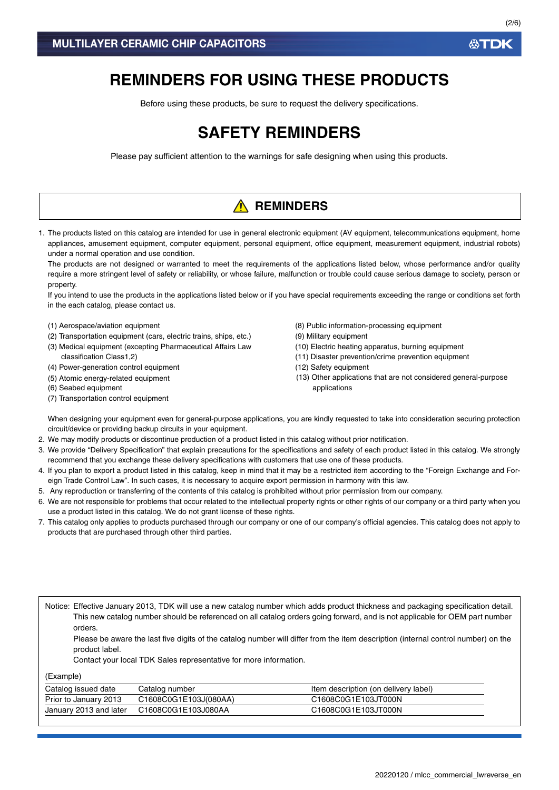# **REMINDERS FOR USING THESE PRODUCTS**

Before using these products, be sure to request the delivery specifications.

# **SAFETY REMINDERS**

Please pay sufficient attention to the warnings for safe designing when using this products.

# **A** REMINDERS

1. The products listed on this catalog are intended for use in general electronic equipment (AV equipment, telecommunications equipment, home appliances, amusement equipment, computer equipment, personal equipment, office equipment, measurement equipment, industrial robots) under a normal operation and use condition.

The products are not designed or warranted to meet the requirements of the applications listed below, whose performance and/or quality require a more stringent level of safety or reliability, or whose failure, malfunction or trouble could cause serious damage to society, person or property.

If you intend to use the products in the applications listed below or if you have special requirements exceeding the range or conditions set forth in the each catalog, please contact us.

- (1) Aerospace/aviation equipment
- (2) Transportation equipment (cars, electric trains, ships, etc.)
- (3) Medical equipment (excepting Pharmaceutical Affairs Law classification Class1,2)
- (4) Power-generation control equipment
- (5) Atomic energy-related equipment
- (6) Seabed equipment
- (7) Transportation control equipment
- (8) Public information-processing equipment
- (9) Military equipment
- (10) Electric heating apparatus, burning equipment
- (11) Disaster prevention/crime prevention equipment
- (12) Safety equipment
- (13) Other applications that are not considered general-purpose applications

When designing your equipment even for general-purpose applications, you are kindly requested to take into consideration securing protection circuit/device or providing backup circuits in your equipment.

- 2. We may modify products or discontinue production of a product listed in this catalog without prior notification.
- 3. We provide "Delivery Specification" that explain precautions for the specifications and safety of each product listed in this catalog. We strongly recommend that you exchange these delivery specifications with customers that use one of these products.
- 4. If you plan to export a product listed in this catalog, keep in mind that it may be a restricted item according to the "Foreign Exchange and Foreign Trade Control Law". In such cases, it is necessary to acquire export permission in harmony with this law.
- 5. Any reproduction or transferring of the contents of this catalog is prohibited without prior permission from our company.
- 6. We are not responsible for problems that occur related to the intellectual property rights or other rights of our company or a third party when you use a product listed in this catalog. We do not grant license of these rights.
- 7. This catalog only applies to products purchased through our company or one of our company's official agencies. This catalog does not apply to products that are purchased through other third parties.

Notice: Effective January 2013, TDK will use a new catalog number which adds product thickness and packaging specification detail. This new catalog number should be referenced on all catalog orders going forward, and is not applicable for OEM part number orders.

Please be aware the last five digits of the catalog number will differ from the item description (internal control number) on the product label.

Contact your local TDK Sales representative for more information.

(Example)

| Catalog issued date    | Catalog number        | Item description (on delivery label) |
|------------------------|-----------------------|--------------------------------------|
| Prior to January 2013  | C1608C0G1E103J(080AA) | C1608C0G1E103JT000N                  |
| January 2013 and later | C1608C0G1E103J080AA   | C1608C0G1E103JT000N                  |

**ATDK**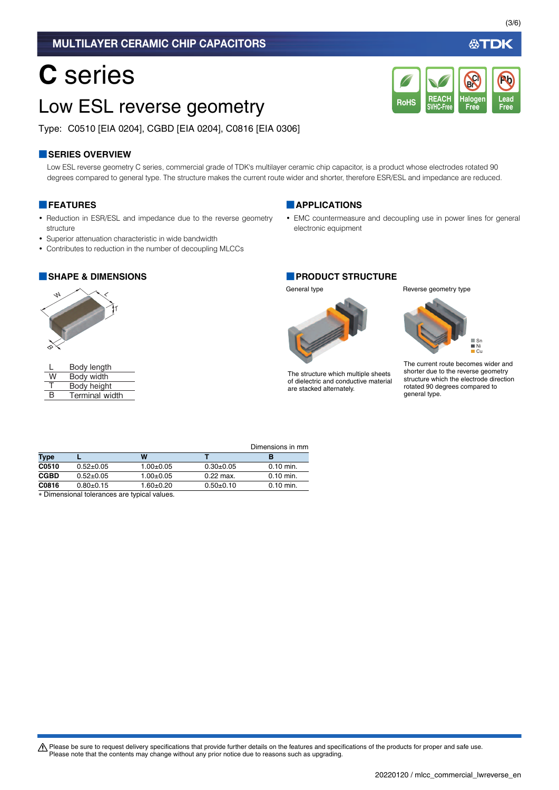## MULTILAYER CERAMIC CHIP CAPACITORS

# **C** series

# Low ESL reverse geometry

Type: C0510 [EIA 0204], CGBD [EIA 0204], C0816 [EIA 0306]

## **■SERIES OVERVIEW**

Low ESL reverse geometry C series, commercial grade of TDK's multilayer ceramic chip capacitor, is a product whose electrodes rotated 90 degrees compared to general type. The structure makes the current route wider and shorter, therefore ESR/ESL and impedance are reduced.

### **■FEATURES**

- Reduction in ESR/ESL and impedance due to the reverse geometry structure
- Superior attenuation characteristic in wide bandwidth
- Contributes to reduction in the number of decoupling MLCCs



L W T Body length Body width Body height

B Terminal width

### **■APPLICATIONS**

• EMC countermeasure and decoupling use in power lines for general electronic equipment

#### **■SHAPE & DIMENSIONS ■PRODUCT STRUCTURE**



The structure which multiple sheets of dielectric and conductive material are stacked alternately.

General type **Reverse** geometry type

**REACH SVHC-Free**

RoHS SVHC-Free Free Free

**Halogen Free**

**Br Cl**



The current route becomes wider and shorter due to the reverse geometry structure which the electrode direction rotated 90 degrees compared to general type.

Dimensions in mm

|             |                                                                                                                                                                                                                                |               |             | _           |
|-------------|--------------------------------------------------------------------------------------------------------------------------------------------------------------------------------------------------------------------------------|---------------|-------------|-------------|
| <b>Type</b> |                                                                                                                                                                                                                                | W             |             |             |
| C0510       | $0.52+0.05$                                                                                                                                                                                                                    | $1.00+0.05$   | $0.30+0.05$ | $0.10$ min. |
| CGBD        | $0.52+0.05$                                                                                                                                                                                                                    | $1.00+0.05$   | $0.22$ max. | $0.10$ min. |
| C0816       | $0.80+0.15$                                                                                                                                                                                                                    | $1.60 + 0.20$ | $0.50+0.10$ | $0.10$ min. |
|             | a in interested and the leadership of the state of a subset of the state of the state of the state of the state of the state of the state of the state of the state of the state of the state of the state of the state of the |               |             |             |

Dimensional tolerances are typical values.

A Please be sure to request delivery specifications that provide further details on the features and specifications of the products for proper and safe use. Please note that the contents may change without any prior notice due to reasons such as upgrading.

**Lead**

**Pb**

必TDK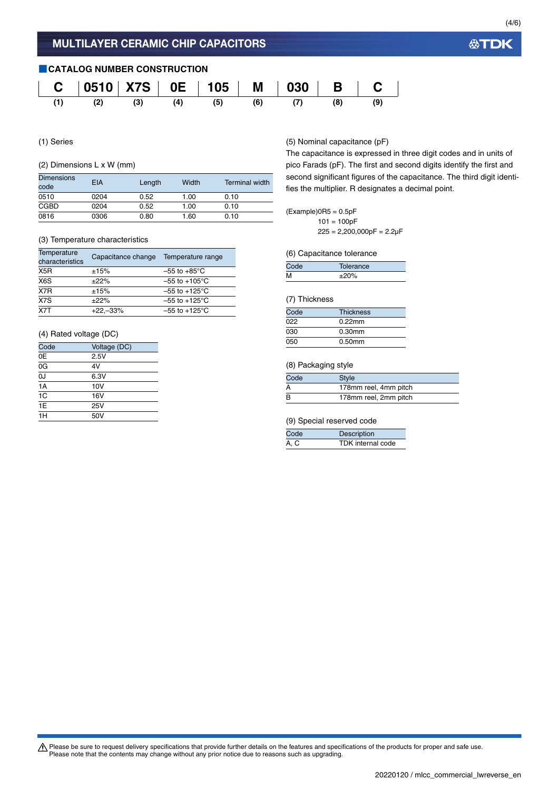

(1) Series

#### (2) Dimensions L x W (mm)

| <b>Dimensions</b><br>code | EIA  | Length | Width | <b>Terminal width</b> |
|---------------------------|------|--------|-------|-----------------------|
| 0510                      | 0204 | 0.52   | 1.00  | 0.10                  |
| <b>CGBD</b>               | 0204 | 0.52   | 1.00  | 0.10                  |
| 0816                      | 0306 | 0.80   | 1.60  | 0.10                  |

#### (3) Temperature characteristics

| Temperature<br>characteristics | Capacitance change | Temperature range         |
|--------------------------------|--------------------|---------------------------|
| X5R                            | ±15%               | $-55$ to $+85^{\circ}$ C  |
| X <sub>6</sub> S               | ±22%               | $-55$ to $+105^{\circ}$ C |
| X7R                            | ±15%               | $-55$ to $+125^{\circ}$ C |
| $\overline{X7S}$               | ±22%               | $-55$ to $+125^{\circ}$ C |
| X7T                            | $+22,-33%$         | $-55$ to $+125^{\circ}$ C |

#### (4) Rated voltage (DC)

| Code            | Voltage (DC) |
|-----------------|--------------|
| 0E              | 2.5V         |
| 0G              | 4V           |
| $\overline{0J}$ | 6.3V         |
| 1A              | 10V          |
| $\overline{1C}$ | 16V          |
| $\overline{1E}$ | 25V          |
| 1H              | 50V          |

#### (5) Nominal capacitance (pF)

The capacitance is expressed in three digit codes and in units of pico Farads (pF). The first and second digits identify the first and second significant figures of the capacitance. The third digit identifies the multiplier. R designates a decimal point.

### $(Example)$ OR5 = 0.5pF

 $101 = 100pF$  $225 = 2,200,000pF = 2.2\mu F$ 

#### (6) Capacitance tolerance

|   | Tolerance |  |
|---|-----------|--|
| м | ±20%      |  |

#### (7) Thickness

| Code | <b>Thickness</b> |
|------|------------------|
| 022  | $0.22$ mm        |
| 030  | $0.30$ mm        |
| 050  | $0.50$ mm        |

#### (8) Packaging style

| Code | Style                 |
|------|-----------------------|
| A    | 178mm reel, 4mm pitch |
| B    | 178mm reel, 2mm pitch |

#### (9) Special reserved code

| Code | Description              |
|------|--------------------------|
| A, C | <b>TDK</b> internal code |

Please be sure to request delivery specifications that provide further details on the features and specifications of the products for proper and safe use.<br>Please note that the contents may change without any prior notice d

**公TDK**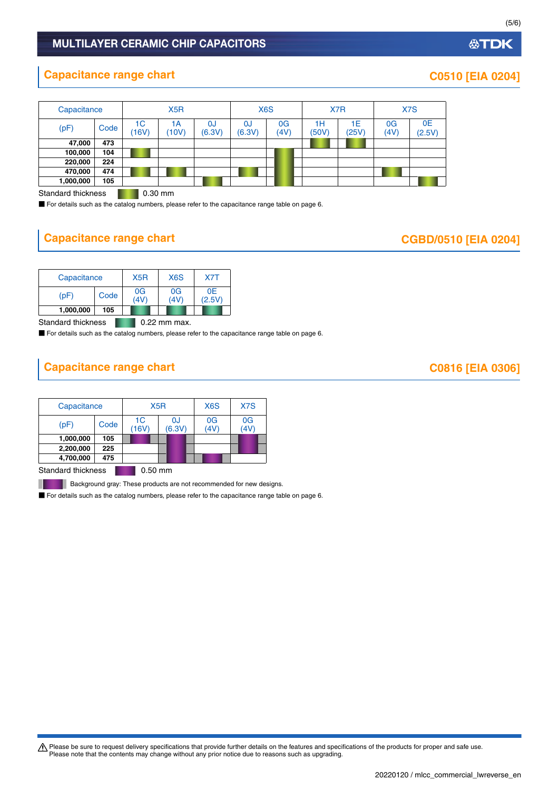## MULTILAYER CERAMIC CHIP CAPACITORS

# **Capacitance range chart CO510 [EIA 0204]**

| Capacitance |      |             | X <sub>5</sub> R |                          |              | X <sub>6</sub> S |             | X <sub>7</sub> R |            | X7S          |
|-------------|------|-------------|------------------|--------------------------|--------------|------------------|-------------|------------------|------------|--------------|
| (pF)        | Code | 1C<br>(16V) | 1А<br>(10V)      | <sub>0</sub> J<br>(6.3V) | 0J<br>(6.3V) | 0G<br>(4V)       | 1H<br>(50V) | 1Е<br>(25V)      | 0G<br>(4V) | 0E<br>(2.5V) |
| 47,000      | 473  |             |                  |                          |              |                  |             |                  |            |              |
| 100,000     | 104  |             |                  |                          |              |                  |             |                  |            |              |
| 220,000     | 224  |             |                  |                          |              |                  |             |                  |            |              |
| 470,000     | 474  |             |                  |                          |              |                  |             |                  |            |              |
| 1,000,000   | 105  |             |                  |                          |              |                  |             |                  |            |              |

Standard thickness **0.30 mm** 

■ For details such as the catalog numbers, please refer to the capacitance range table on page 6.

# **Capacitance range chart**

| <b>CGBD/0510 [EIA 0204]</b> |  |
|-----------------------------|--|
|-----------------------------|--|

|           | Capacitance |  | X <sub>6</sub> S       | X7T          |
|-----------|-------------|--|------------------------|--------------|
| (pF       | Code        |  | 0 <sub>G</sub><br>(4V) | 0E<br>(2.5V) |
| 1,000,000 | 105         |  |                        |              |

Standard thickness **1.22 mm max.** 

■ For details such as the catalog numbers, please refer to the capacitance range table on page 6.

# **Capacitance range chart COS16 [EIA 0306]**

| Capacitance |      | X <sub>5</sub> R |              | X <sub>6</sub> S | X7S      |  |
|-------------|------|------------------|--------------|------------------|----------|--|
| (pF)        | Code | 1C<br>(16V)      | 0J<br>(6.3V) | 0G<br>(4V)       | 0G<br>4V |  |
| 1,000,000   | 105  |                  |              |                  |          |  |
| 2,200,000   | 225  |                  |              |                  |          |  |
| 4,700,000   | 475  |                  |              |                  |          |  |
|             |      |                  |              |                  |          |  |

Standard thickness **0.50 mm** 

H

Background gray: These products are not recommended for new designs.

■ For details such as the catalog numbers, please refer to the capacitance range table on page 6.

Please be sure to request delivery specifications that provide further details on the features and specifications of the products for proper and safe use.<br>Please note that the contents may change without any prior notice d

### 20220120 / mlcc\_commercial\_lwreverse\_en.

**公TDK**